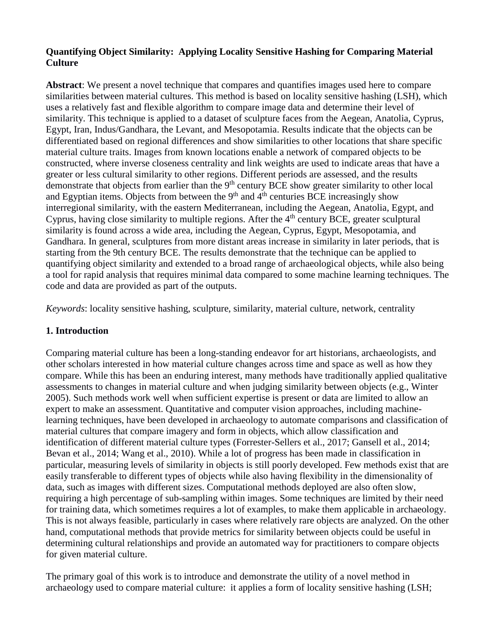# **Quantifying Object Similarity: Applying Locality Sensitive Hashing for Comparing Material Culture**

**Abstract**: We present a novel technique that compares and quantifies images used here to compare similarities between material cultures. This method is based on locality sensitive hashing (LSH), which uses a relatively fast and flexible algorithm to compare image data and determine their level of similarity. This technique is applied to a dataset of sculpture faces from the Aegean, Anatolia, Cyprus, Egypt, Iran, Indus/Gandhara, the Levant, and Mesopotamia. Results indicate that the objects can be differentiated based on regional differences and show similarities to other locations that share specific material culture traits. Images from known locations enable a network of compared objects to be constructed, where inverse closeness centrality and link weights are used to indicate areas that have a greater or less cultural similarity to other regions. Different periods are assessed, and the results demonstrate that objects from earlier than the 9<sup>th</sup> century BCE show greater similarity to other local and Egyptian items. Objects from between the  $9<sup>th</sup>$  and  $4<sup>th</sup>$  centuries BCE increasingly show interregional similarity, with the eastern Mediterranean, including the Aegean, Anatolia, Egypt, and Cyprus, having close similarity to multiple regions. After the  $4<sup>th</sup>$  century BCE, greater sculptural similarity is found across a wide area, including the Aegean, Cyprus, Egypt, Mesopotamia, and Gandhara. In general, sculptures from more distant areas increase in similarity in later periods, that is starting from the 9th century BCE. The results demonstrate that the technique can be applied to quantifying object similarity and extended to a broad range of archaeological objects, while also being a tool for rapid analysis that requires minimal data compared to some machine learning techniques. The code and data are provided as part of the outputs.

*Keywords*: locality sensitive hashing, sculpture, similarity, material culture, network, centrality

# **1. Introduction**

Comparing material culture has been a long-standing endeavor for art historians, archaeologists, and other scholars interested in how material culture changes across time and space as well as how they compare. While this has been an enduring interest, many methods have traditionally applied qualitative assessments to changes in material culture and when judging similarity between objects (e.g., Winter 2005). Such methods work well when sufficient expertise is present or data are limited to allow an expert to make an assessment. Quantitative and computer vision approaches, including machinelearning techniques, have been developed in archaeology to automate comparisons and classification of material cultures that compare imagery and form in objects, which allow classification and identification of different material culture types (Forrester-Sellers et al., 2017; Gansell et al., 2014; Bevan et al., 2014; Wang et al., 2010). While a lot of progress has been made in classification in particular, measuring levels of similarity in objects is still poorly developed. Few methods exist that are easily transferable to different types of objects while also having flexibility in the dimensionality of data, such as images with different sizes. Computational methods deployed are also often slow, requiring a high percentage of sub-sampling within images. Some techniques are limited by their need for training data, which sometimes requires a lot of examples, to make them applicable in archaeology. This is not always feasible, particularly in cases where relatively rare objects are analyzed. On the other hand, computational methods that provide metrics for similarity between objects could be useful in determining cultural relationships and provide an automated way for practitioners to compare objects for given material culture.

The primary goal of this work is to introduce and demonstrate the utility of a novel method in archaeology used to compare material culture: it applies a form of locality sensitive hashing (LSH;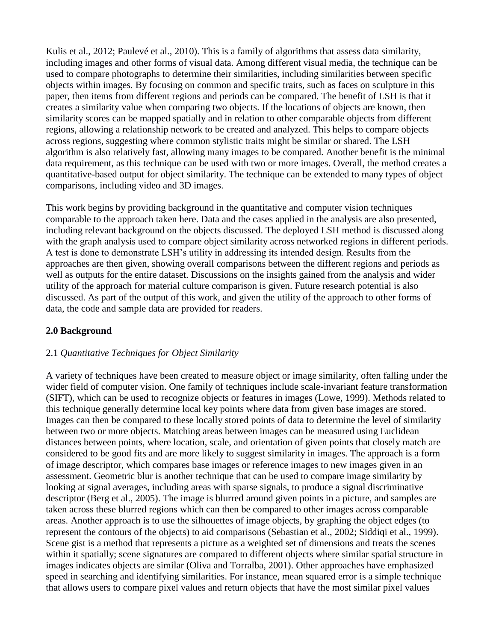Kulis et al., 2012; Paulevé et al., 2010). This is a family of algorithms that assess data similarity, including images and other forms of visual data. Among different visual media, the technique can be used to compare photographs to determine their similarities, including similarities between specific objects within images. By focusing on common and specific traits, such as faces on sculpture in this paper, then items from different regions and periods can be compared. The benefit of LSH is that it creates a similarity value when comparing two objects. If the locations of objects are known, then similarity scores can be mapped spatially and in relation to other comparable objects from different regions, allowing a relationship network to be created and analyzed. This helps to compare objects across regions, suggesting where common stylistic traits might be similar or shared. The LSH algorithm is also relatively fast, allowing many images to be compared. Another benefit is the minimal data requirement, as this technique can be used with two or more images. Overall, the method creates a quantitative-based output for object similarity. The technique can be extended to many types of object comparisons, including video and 3D images.

This work begins by providing background in the quantitative and computer vision techniques comparable to the approach taken here. Data and the cases applied in the analysis are also presented, including relevant background on the objects discussed. The deployed LSH method is discussed along with the graph analysis used to compare object similarity across networked regions in different periods. A test is done to demonstrate LSH's utility in addressing its intended design. Results from the approaches are then given, showing overall comparisons between the different regions and periods as well as outputs for the entire dataset. Discussions on the insights gained from the analysis and wider utility of the approach for material culture comparison is given. Future research potential is also discussed. As part of the output of this work, and given the utility of the approach to other forms of data, the code and sample data are provided for readers.

#### **2.0 Background**

# 2.1 *Quantitative Techniques for Object Similarity*

A variety of techniques have been created to measure object or image similarity, often falling under the wider field of computer vision. One family of techniques include scale-invariant feature transformation (SIFT), which can be used to recognize objects or features in images (Lowe, 1999). Methods related to this technique generally determine local key points where data from given base images are stored. Images can then be compared to these locally stored points of data to determine the level of similarity between two or more objects. Matching areas between images can be measured using Euclidean distances between points, where location, scale, and orientation of given points that closely match are considered to be good fits and are more likely to suggest similarity in images. The approach is a form of image descriptor, which compares base images or reference images to new images given in an assessment. Geometric blur is another technique that can be used to compare image similarity by looking at signal averages, including areas with sparse signals, to produce a signal discriminative descriptor (Berg et al., 2005). The image is blurred around given points in a picture, and samples are taken across these blurred regions which can then be compared to other images across comparable areas. Another approach is to use the silhouettes of image objects, by graphing the object edges (to represent the contours of the objects) to aid comparisons (Sebastian et al., 2002; Siddiqi et al., 1999). Scene gist is a method that represents a picture as a weighted set of dimensions and treats the scenes within it spatially; scene signatures are compared to different objects where similar spatial structure in images indicates objects are similar (Oliva and Torralba, 2001). Other approaches have emphasized speed in searching and identifying similarities. For instance, mean squared error is a simple technique that allows users to compare pixel values and return objects that have the most similar pixel values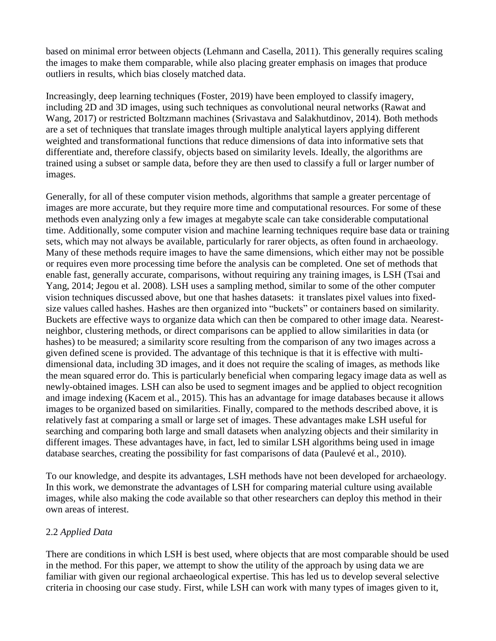based on minimal error between objects (Lehmann and Casella, 2011). This generally requires scaling the images to make them comparable, while also placing greater emphasis on images that produce outliers in results, which bias closely matched data.

Increasingly, deep learning techniques (Foster, 2019) have been employed to classify imagery, including 2D and 3D images, using such techniques as convolutional neural networks (Rawat and Wang, 2017) or restricted Boltzmann machines (Srivastava and Salakhutdinov, 2014). Both methods are a set of techniques that translate images through multiple analytical layers applying different weighted and transformational functions that reduce dimensions of data into informative sets that differentiate and, therefore classify, objects based on similarity levels. Ideally, the algorithms are trained using a subset or sample data, before they are then used to classify a full or larger number of images.

Generally, for all of these computer vision methods, algorithms that sample a greater percentage of images are more accurate, but they require more time and computational resources. For some of these methods even analyzing only a few images at megabyte scale can take considerable computational time. Additionally, some computer vision and machine learning techniques require base data or training sets, which may not always be available, particularly for rarer objects, as often found in archaeology. Many of these methods require images to have the same dimensions, which either may not be possible or requires even more processing time before the analysis can be completed. One set of methods that enable fast, generally accurate, comparisons, without requiring any training images, is LSH (Tsai and Yang, 2014; Jegou et al. 2008). LSH uses a sampling method, similar to some of the other computer vision techniques discussed above, but one that hashes datasets: it translates pixel values into fixedsize values called hashes. Hashes are then organized into "buckets" or containers based on similarity. Buckets are effective ways to organize data which can then be compared to other image data. Nearestneighbor, clustering methods, or direct comparisons can be applied to allow similarities in data (or hashes) to be measured; a similarity score resulting from the comparison of any two images across a given defined scene is provided. The advantage of this technique is that it is effective with multidimensional data, including 3D images, and it does not require the scaling of images, as methods like the mean squared error do. This is particularly beneficial when comparing legacy image data as well as newly-obtained images. LSH can also be used to segment images and be applied to object recognition and image indexing (Kacem et al., 2015). This has an advantage for image databases because it allows images to be organized based on similarities. Finally, compared to the methods described above, it is relatively fast at comparing a small or large set of images. These advantages make LSH useful for searching and comparing both large and small datasets when analyzing objects and their similarity in different images. These advantages have, in fact, led to similar LSH algorithms being used in image database searches, creating the possibility for fast comparisons of data (Paulevé et al., 2010).

To our knowledge, and despite its advantages, LSH methods have not been developed for archaeology. In this work, we demonstrate the advantages of LSH for comparing material culture using available images, while also making the code available so that other researchers can deploy this method in their own areas of interest.

# 2.2 *Applied Data*

There are conditions in which LSH is best used, where objects that are most comparable should be used in the method. For this paper, we attempt to show the utility of the approach by using data we are familiar with given our regional archaeological expertise. This has led us to develop several selective criteria in choosing our case study. First, while LSH can work with many types of images given to it,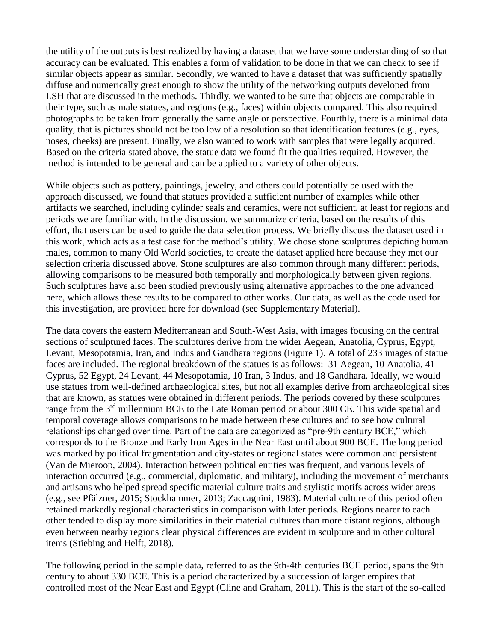the utility of the outputs is best realized by having a dataset that we have some understanding of so that accuracy can be evaluated. This enables a form of validation to be done in that we can check to see if similar objects appear as similar. Secondly, we wanted to have a dataset that was sufficiently spatially diffuse and numerically great enough to show the utility of the networking outputs developed from LSH that are discussed in the methods. Thirdly, we wanted to be sure that objects are comparable in their type, such as male statues, and regions (e.g., faces) within objects compared. This also required photographs to be taken from generally the same angle or perspective. Fourthly, there is a minimal data quality, that is pictures should not be too low of a resolution so that identification features (e.g., eyes, noses, cheeks) are present. Finally, we also wanted to work with samples that were legally acquired. Based on the criteria stated above, the statue data we found fit the qualities required. However, the method is intended to be general and can be applied to a variety of other objects.

While objects such as pottery, paintings, jewelry, and others could potentially be used with the approach discussed, we found that statues provided a sufficient number of examples while other artifacts we searched, including cylinder seals and ceramics, were not sufficient, at least for regions and periods we are familiar with. In the discussion, we summarize criteria, based on the results of this effort, that users can be used to guide the data selection process. We briefly discuss the dataset used in this work, which acts as a test case for the method's utility. We chose stone sculptures depicting human males, common to many Old World societies, to create the dataset applied here because they met our selection criteria discussed above. Stone sculptures are also common through many different periods, allowing comparisons to be measured both temporally and morphologically between given regions. Such sculptures have also been studied previously using alternative approaches to the one advanced here, which allows these results to be compared to other works. Our data, as well as the code used for this investigation, are provided here for download (see Supplementary Material).

The data covers the eastern Mediterranean and South-West Asia, with images focusing on the central sections of sculptured faces. The sculptures derive from the wider Aegean, Anatolia, Cyprus, Egypt, Levant, Mesopotamia, Iran, and Indus and Gandhara regions (Figure 1). A total of 233 images of statue faces are included. The regional breakdown of the statues is as follows: 31 Aegean, 10 Anatolia, 41 Cyprus, 52 Egypt, 24 Levant, 44 Mesopotamia, 10 Iran, 3 Indus, and 18 Gandhara. Ideally, we would use statues from well-defined archaeological sites, but not all examples derive from archaeological sites that are known, as statues were obtained in different periods. The periods covered by these sculptures range from the 3<sup>rd</sup> millennium BCE to the Late Roman period or about 300 CE. This wide spatial and temporal coverage allows comparisons to be made between these cultures and to see how cultural relationships changed over time. Part of the data are categorized as "pre-9th century BCE," which corresponds to the Bronze and Early Iron Ages in the Near East until about 900 BCE. The long period was marked by political fragmentation and city-states or regional states were common and persistent (Van de Mieroop, 2004). Interaction between political entities was frequent, and various levels of interaction occurred (e.g., commercial, diplomatic, and military), including the movement of merchants and artisans who helped spread specific material culture traits and stylistic motifs across wider areas (e.g., see Pfälzner, 2015; Stockhammer, 2013; Zaccagnini, 1983). Material culture of this period often retained markedly regional characteristics in comparison with later periods. Regions nearer to each other tended to display more similarities in their material cultures than more distant regions, although even between nearby regions clear physical differences are evident in sculpture and in other cultural items (Stiebing and Helft, 2018).

The following period in the sample data, referred to as the 9th-4th centuries BCE period, spans the 9th century to about 330 BCE. This is a period characterized by a succession of larger empires that controlled most of the Near East and Egypt (Cline and Graham, 2011). This is the start of the so-called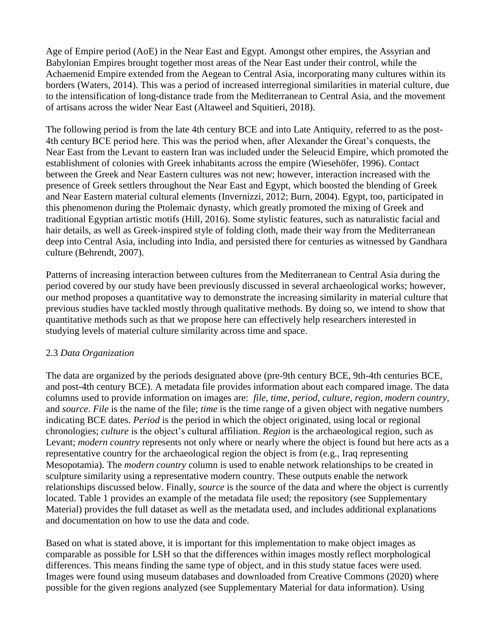Age of Empire period (AoE) in the Near East and Egypt. Amongst other empires, the Assyrian and Babylonian Empires brought together most areas of the Near East under their control, while the Achaemenid Empire extended from the Aegean to Central Asia, incorporating many cultures within its borders (Waters, 2014). This was a period of increased interregional similarities in material culture, due to the intensification of long-distance trade from the Mediterranean to Central Asia, and the movement of artisans across the wider Near East (Altaweel and Squitieri, 2018).

The following period is from the late 4th century BCE and into Late Antiquity, referred to as the post-4th century BCE period here. This was the period when, after Alexander the Great's conquests, the Near East from the Levant to eastern Iran was included under the Seleucid Empire, which promoted the establishment of colonies with Greek inhabitants across the empire (Wiesehöfer, 1996). Contact between the Greek and Near Eastern cultures was not new; however, interaction increased with the presence of Greek settlers throughout the Near East and Egypt, which boosted the blending of Greek and Near Eastern material cultural elements (Invernizzi, 2012; Burn, 2004). Egypt, too, participated in this phenomenon during the Ptolemaic dynasty, which greatly promoted the mixing of Greek and traditional Egyptian artistic motifs (Hill, 2016). Some stylistic features, such as naturalistic facial and hair details, as well as Greek-inspired style of folding cloth, made their way from the Mediterranean deep into Central Asia, including into India, and persisted there for centuries as witnessed by Gandhara culture (Behrendt, 2007).

Patterns of increasing interaction between cultures from the Mediterranean to Central Asia during the period covered by our study have been previously discussed in several archaeological works; however, our method proposes a quantitative way to demonstrate the increasing similarity in material culture that previous studies have tackled mostly through qualitative methods. By doing so, we intend to show that quantitative methods such as that we propose here can effectively help researchers interested in studying levels of material culture similarity across time and space.

#### 2.3 *Data Organization*

The data are organized by the periods designated above (pre-9th century BCE, 9th-4th centuries BCE, and post-4th century BCE). A metadata file provides information about each compared image. The data columns used to provide information on images are: *file*, *time*, *period*, *culture*, *region*, *modern country,*  and *source*. *File* is the name of the file; *time* is the time range of a given object with negative numbers indicating BCE dates. *Period* is the period in which the object originated, using local or regional chronologies; *culture* is the object's cultural affiliation. *Region* is the archaeological region, such as Levant; *modern country* represents not only where or nearly where the object is found but here acts as a representative country for the archaeological region the object is from (e.g., Iraq representing Mesopotamia). The *modern country* column is used to enable network relationships to be created in sculpture similarity using a representative modern country. These outputs enable the network relationships discussed below. Finally, *source* is the source of the data and where the object is currently located. Table 1 provides an example of the metadata file used; the repository (see Supplementary Material) provides the full dataset as well as the metadata used, and includes additional explanations and documentation on how to use the data and code.

Based on what is stated above, it is important for this implementation to make object images as comparable as possible for LSH so that the differences within images mostly reflect morphological differences. This means finding the same type of object, and in this study statue faces were used. Images were found using museum databases and downloaded from Creative Commons (2020) where possible for the given regions analyzed (see Supplementary Material for data information). Using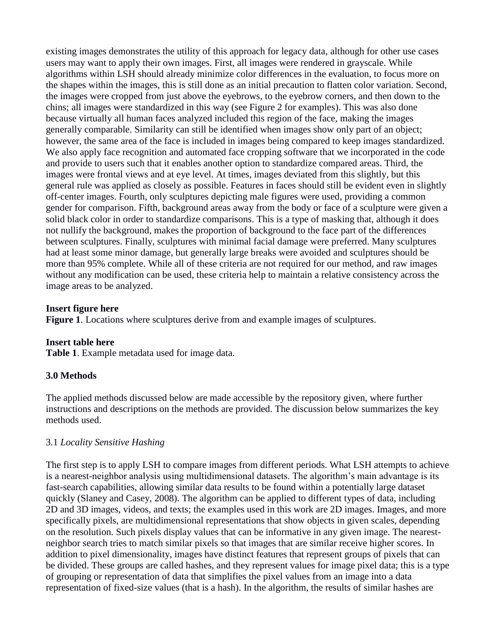existing images demonstrates the utility of this approach for legacy data, although for other use cases users may want to apply their own images. First, all images were rendered in grayscale. While algorithms within LSH should already minimize color differences in the evaluation, to focus more on the shapes within the images, this is still done as an initial precaution to flatten color variation. Second, the images were cropped from just above the eyebrows, to the eyebrow corners, and then down to the chins; all images were standardized in this way (see Figure 2 for examples). This was also done because virtually all human faces analyzed included this region of the face, making the images generally comparable. Similarity can still be identified when images show only part of an object; however, the same area of the face is included in images being compared to keep images standardized. We also apply face recognition and automated face cropping software that we incorporated in the code and provide to users such that it enables another option to standardize compared areas. Third, the images were frontal views and at eye level. At times, images deviated from this slightly, but this general rule was applied as closely as possible. Features in faces should still be evident even in slightly off-center images. Fourth, only sculptures depicting male figures were used, providing a common gender for comparison. Fifth, background areas away from the body or face of a sculpture were given a solid black color in order to standardize comparisons. This is a type of masking that, although it does not nullify the background, makes the proportion of background to the face part of the differences between sculptures. Finally, sculptures with minimal facial damage were preferred. Many sculptures had at least some minor damage, but generally large breaks were avoided and sculptures should be more than 95% complete. While all of these criteria are not required for our method, and raw images without any modification can be used, these criteria help to maintain a relative consistency across the image areas to be analyzed.

#### **Insert figure here**

**Figure 1**. Locations where sculptures derive from and example images of sculptures.

#### **Insert table here**

**Table 1**. Example metadata used for image data.

#### **3.0 Methods**

The applied methods discussed below are made accessible by the repository given, where further instructions and descriptions on the methods are provided. The discussion below summarizes the key methods used.

#### 3.1 *Locality Sensitive Hashing*

The first step is to apply LSH to compare images from different periods. What LSH attempts to achieve is a nearest-neighbor analysis using multidimensional datasets. The algorithm's main advantage is its fast-search capabilities, allowing similar data results to be found within a potentially large dataset quickly (Slaney and Casey, 2008). The algorithm can be applied to different types of data, including 2D and 3D images, videos, and texts; the examples used in this work are 2D images. Images, and more specifically pixels, are multidimensional representations that show objects in given scales, depending on the resolution. Such pixels display values that can be informative in any given image. The nearestneighbor search tries to match similar pixels so that images that are similar receive higher scores. In addition to pixel dimensionality, images have distinct features that represent groups of pixels that can be divided. These groups are called hashes, and they represent values for image pixel data; this is a type of grouping or representation of data that simplifies the pixel values from an image into a data representation of fixed-size values (that is a hash). In the algorithm, the results of similar hashes are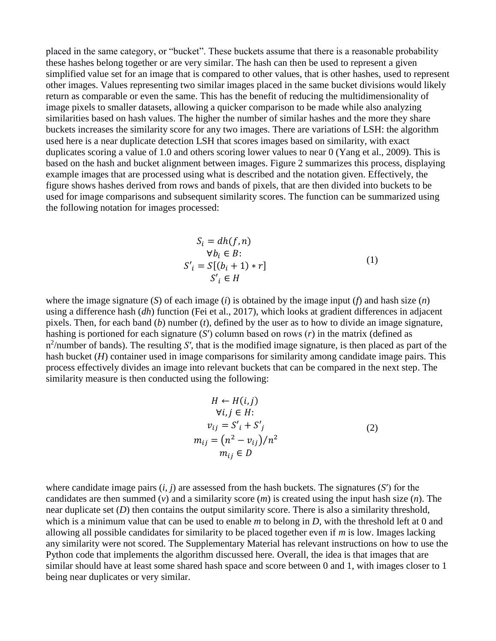placed in the same category, or "bucket". These buckets assume that there is a reasonable probability these hashes belong together or are very similar. The hash can then be used to represent a given simplified value set for an image that is compared to other values, that is other hashes, used to represent other images. Values representing two similar images placed in the same bucket divisions would likely return as comparable or even the same. This has the benefit of reducing the multidimensionality of image pixels to smaller datasets, allowing a quicker comparison to be made while also analyzing similarities based on hash values. The higher the number of similar hashes and the more they share buckets increases the similarity score for any two images. There are variations of LSH: the algorithm used here is a near duplicate detection LSH that scores images based on similarity, with exact duplicates scoring a value of 1.0 and others scoring lower values to near 0 (Yang et al., 2009). This is based on the hash and bucket alignment between images. Figure 2 summarizes this process, displaying example images that are processed using what is described and the notation given. Effectively, the figure shows hashes derived from rows and bands of pixels, that are then divided into buckets to be used for image comparisons and subsequent similarity scores. The function can be summarized using the following notation for images processed:

$$
S_i = dh(f, n)
$$
  
\n
$$
\forall b_i \in B:
$$
  
\n
$$
S'_i = S[(b_i + 1) * r]
$$
  
\n
$$
S'_i \in H
$$
 (1)

where the image signature (*S*) of each image (*i*) is obtained by the image input (*f*) and hash size (*n*) using a difference hash (*dh*) function (Fei et al., 2017), which looks at gradient differences in adjacent pixels. Then, for each band (*b*) number (*t*), defined by the user as to how to divide an image signature, hashing is portioned for each signature (*S*′) column based on rows (*r*) in the matrix (defined as n<sup>2</sup>/number of bands). The resulting *S'*, that is the modified image signature, is then placed as part of the hash bucket (*H*) container used in image comparisons for similarity among candidate image pairs. This process effectively divides an image into relevant buckets that can be compared in the next step. The similarity measure is then conducted using the following:

$$
H \leftarrow H(i, j)
$$
  
\n
$$
\forall i, j \in H:
$$
  
\n
$$
v_{ij} = S'_{i} + S'_{j}
$$
  
\n
$$
m_{ij} = (n^{2} - v_{ij})/n^{2}
$$
  
\n
$$
m_{ij} \in D
$$
\n(2)

where candidate image pairs  $(i, j)$  are assessed from the hash buckets. The signatures  $(S')$  for the candidates are then summed (*v*) and a similarity score (*m*) is created using the input hash size (*n*). The near duplicate set (*D*) then contains the output similarity score. There is also a similarity threshold, which is a minimum value that can be used to enable *m* to belong in *D*, with the threshold left at 0 and allowing all possible candidates for similarity to be placed together even if *m* is low. Images lacking any similarity were not scored. The Supplementary Material has relevant instructions on how to use the Python code that implements the algorithm discussed here. Overall, the idea is that images that are similar should have at least some shared hash space and score between 0 and 1, with images closer to 1 being near duplicates or very similar.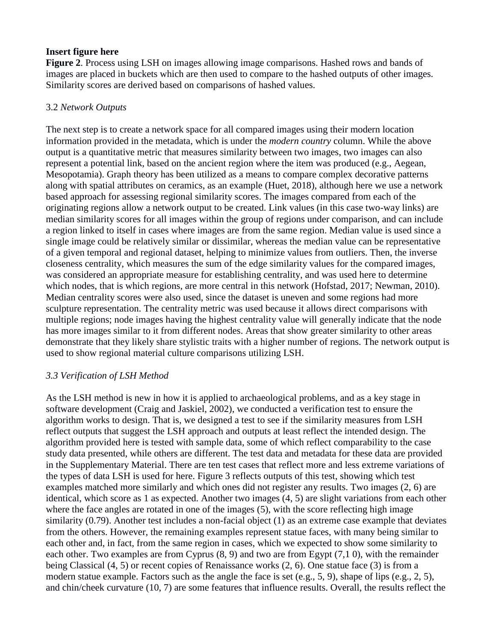### **Insert figure here**

**Figure 2**. Process using LSH on images allowing image comparisons. Hashed rows and bands of images are placed in buckets which are then used to compare to the hashed outputs of other images. Similarity scores are derived based on comparisons of hashed values.

### 3.2 *Network Outputs*

The next step is to create a network space for all compared images using their modern location information provided in the metadata, which is under the *modern country* column. While the above output is a quantitative metric that measures similarity between two images, two images can also represent a potential link, based on the ancient region where the item was produced (e.g., Aegean, Mesopotamia). Graph theory has been utilized as a means to compare complex decorative patterns along with spatial attributes on ceramics, as an example (Huet, 2018), although here we use a network based approach for assessing regional similarity scores. The images compared from each of the originating regions allow a network output to be created. Link values (in this case two-way links) are median similarity scores for all images within the group of regions under comparison, and can include a region linked to itself in cases where images are from the same region. Median value is used since a single image could be relatively similar or dissimilar, whereas the median value can be representative of a given temporal and regional dataset, helping to minimize values from outliers. Then, the inverse closeness centrality, which measures the sum of the edge similarity values for the compared images, was considered an appropriate measure for establishing centrality, and was used here to determine which nodes, that is which regions, are more central in this network (Hofstad, 2017; Newman, 2010). Median centrality scores were also used, since the dataset is uneven and some regions had more sculpture representation. The centrality metric was used because it allows direct comparisons with multiple regions; node images having the highest centrality value will generally indicate that the node has more images similar to it from different nodes. Areas that show greater similarity to other areas demonstrate that they likely share stylistic traits with a higher number of regions. The network output is used to show regional material culture comparisons utilizing LSH.

# *3.3 Verification of LSH Method*

As the LSH method is new in how it is applied to archaeological problems, and as a key stage in software development (Craig and Jaskiel, 2002), we conducted a verification test to ensure the algorithm works to design. That is, we designed a test to see if the similarity measures from LSH reflect outputs that suggest the LSH approach and outputs at least reflect the intended design. The algorithm provided here is tested with sample data, some of which reflect comparability to the case study data presented, while others are different. The test data and metadata for these data are provided in the Supplementary Material. There are ten test cases that reflect more and less extreme variations of the types of data LSH is used for here. Figure 3 reflects outputs of this test, showing which test examples matched more similarly and which ones did not register any results. Two images (2, 6) are identical, which score as 1 as expected. Another two images (4, 5) are slight variations from each other where the face angles are rotated in one of the images (5), with the score reflecting high image similarity (0.79). Another test includes a non-facial object (1) as an extreme case example that deviates from the others. However, the remaining examples represent statue faces, with many being similar to each other and, in fact, from the same region in cases, which we expected to show some similarity to each other. Two examples are from Cyprus (8, 9) and two are from Egypt (7,1 0), with the remainder being Classical (4, 5) or recent copies of Renaissance works (2, 6). One statue face (3) is from a modern statue example. Factors such as the angle the face is set (e.g., 5, 9), shape of lips (e.g., 2, 5), and chin/cheek curvature (10, 7) are some features that influence results. Overall, the results reflect the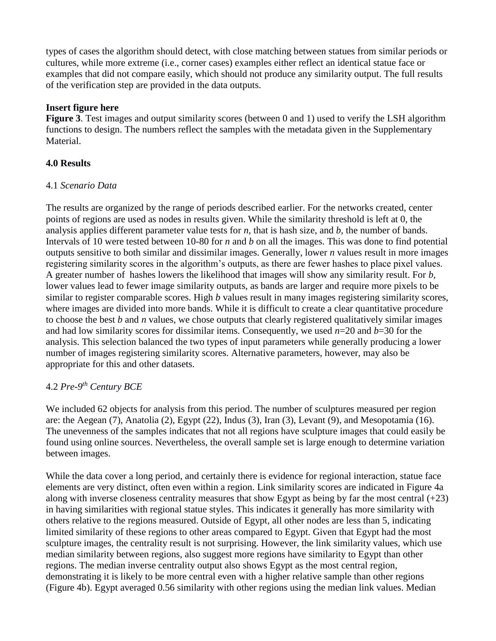types of cases the algorithm should detect, with close matching between statues from similar periods or cultures, while more extreme (i.e., corner cases) examples either reflect an identical statue face or examples that did not compare easily, which should not produce any similarity output. The full results of the verification step are provided in the data outputs.

### **Insert figure here**

**Figure 3**. Test images and output similarity scores (between 0 and 1) used to verify the LSH algorithm functions to design. The numbers reflect the samples with the metadata given in the Supplementary Material.

# **4.0 Results**

### 4.1 *Scenario Data*

The results are organized by the range of periods described earlier. For the networks created, center points of regions are used as nodes in results given. While the similarity threshold is left at 0, the analysis applies different parameter value tests for *n*, that is hash size, and *b,* the number of bands. Intervals of 10 were tested between 10-80 for *n* and *b* on all the images. This was done to find potential outputs sensitive to both similar and dissimilar images. Generally, lower *n* values result in more images registering similarity scores in the algorithm's outputs, as there are fewer hashes to place pixel values. A greater number of hashes lowers the likelihood that images will show any similarity result. For *b*, lower values lead to fewer image similarity outputs, as bands are larger and require more pixels to be similar to register comparable scores. High *b* values result in many images registering similarity scores, where images are divided into more bands. While it is difficult to create a clear quantitative procedure to choose the best *b* and *n* values, we chose outputs that clearly registered qualitatively similar images and had low similarity scores for dissimilar items. Consequently, we used *n*=20 and *b*=30 for the analysis. This selection balanced the two types of input parameters while generally producing a lower number of images registering similarity scores. Alternative parameters, however, may also be appropriate for this and other datasets.

# 4.2 *Pre-9 th Century BCE*

We included 62 objects for analysis from this period. The number of sculptures measured per region are: the Aegean (7), Anatolia (2), Egypt (22), Indus (3), Iran (3), Levant (9), and Mesopotamia (16). The unevenness of the samples indicates that not all regions have sculpture images that could easily be found using online sources. Nevertheless, the overall sample set is large enough to determine variation between images.

While the data cover a long period, and certainly there is evidence for regional interaction, statue face elements are very distinct, often even within a region. Link similarity scores are indicated in Figure 4a along with inverse closeness centrality measures that show Egypt as being by far the most central  $(+23)$ in having similarities with regional statue styles. This indicates it generally has more similarity with others relative to the regions measured. Outside of Egypt, all other nodes are less than 5, indicating limited similarity of these regions to other areas compared to Egypt. Given that Egypt had the most sculpture images, the centrality result is not surprising. However, the link similarity values, which use median similarity between regions, also suggest more regions have similarity to Egypt than other regions. The median inverse centrality output also shows Egypt as the most central region, demonstrating it is likely to be more central even with a higher relative sample than other regions (Figure 4b). Egypt averaged 0.56 similarity with other regions using the median link values. Median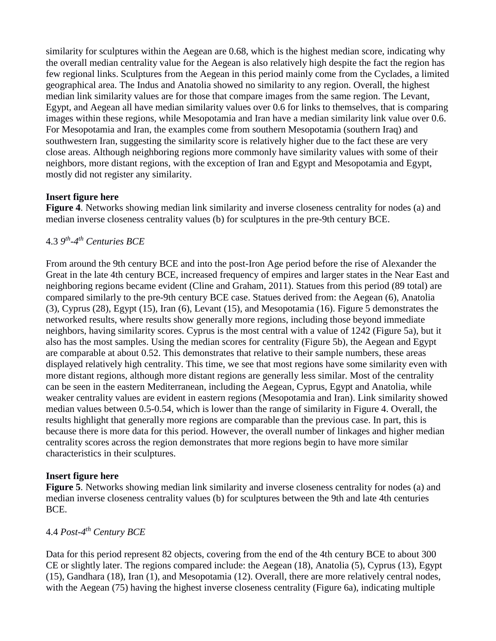similarity for sculptures within the Aegean are 0.68, which is the highest median score, indicating why the overall median centrality value for the Aegean is also relatively high despite the fact the region has few regional links. Sculptures from the Aegean in this period mainly come from the [Cyclades,](https://en.wikipedia.org/wiki/Cyclades) a limited geographical area. The Indus and Anatolia showed no similarity to any region. Overall, the highest median link similarity values are for those that compare images from the same region. The Levant, Egypt, and Aegean all have median similarity values over 0.6 for links to themselves, that is comparing images within these regions, while Mesopotamia and Iran have a median similarity link value over 0.6. For Mesopotamia and Iran, the examples come from southern Mesopotamia (southern Iraq) and southwestern Iran, suggesting the similarity score is relatively higher due to the fact these are very close areas. Although neighboring regions more commonly have similarity values with some of their neighbors, more distant regions, with the exception of Iran and Egypt and Mesopotamia and Egypt, mostly did not register any similarity.

# **Insert figure here**

**Figure 4**. Networks showing median link similarity and inverse closeness centrality for nodes (a) and median inverse closeness centrality values (b) for sculptures in the pre-9th century BCE.

# 4.3 *9 th -4 th Centuries BCE*

From around the 9th century BCE and into the post-Iron Age period before the rise of Alexander the Great in the late 4th century BCE, increased frequency of empires and larger states in the Near East and neighboring regions became evident (Cline and Graham, 2011). Statues from this period (89 total) are compared similarly to the pre-9th century BCE case. Statues derived from: the Aegean (6), Anatolia (3), Cyprus (28), Egypt (15), Iran (6), Levant (15), and Mesopotamia (16). Figure 5 demonstrates the networked results, where results show generally more regions, including those beyond immediate neighbors, having similarity scores. Cyprus is the most central with a value of 1242 (Figure 5a), but it also has the most samples. Using the median scores for centrality (Figure 5b), the Aegean and Egypt are comparable at about 0.52. This demonstrates that relative to their sample numbers, these areas displayed relatively high centrality. This time, we see that most regions have some similarity even with more distant regions, although more distant regions are generally less similar. Most of the centrality can be seen in the eastern Mediterranean, including the Aegean, Cyprus, Egypt and Anatolia, while weaker centrality values are evident in eastern regions (Mesopotamia and Iran). Link similarity showed median values between 0.5-0.54, which is lower than the range of similarity in Figure 4. Overall, the results highlight that generally more regions are comparable than the previous case. In part, this is because there is more data for this period. However, the overall number of linkages and higher median centrality scores across the region demonstrates that more regions begin to have more similar characteristics in their sculptures.

# **Insert figure here**

**Figure 5**. Networks showing median link similarity and inverse closeness centrality for nodes (a) and median inverse closeness centrality values (b) for sculptures between the 9th and late 4th centuries BCE.

# 4.4 *Post-4 th Century BCE*

Data for this period represent 82 objects, covering from the end of the 4th century BCE to about 300 CE or slightly later. The regions compared include: the Aegean (18), Anatolia (5), Cyprus (13), Egypt (15), Gandhara (18), Iran (1), and Mesopotamia (12). Overall, there are more relatively central nodes, with the Aegean (75) having the highest inverse closeness centrality (Figure 6a), indicating multiple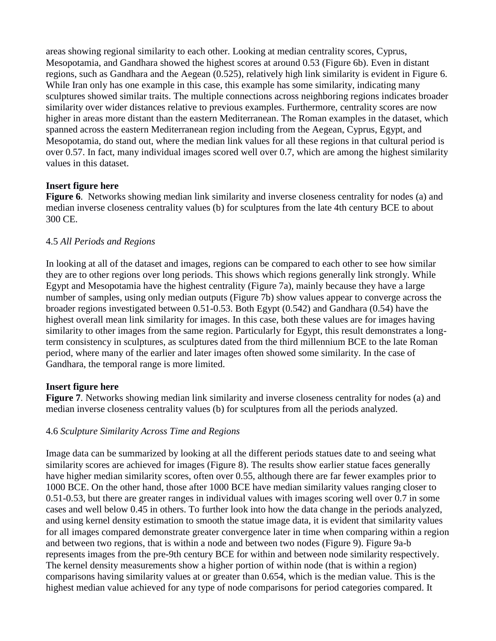areas showing regional similarity to each other. Looking at median centrality scores, Cyprus, Mesopotamia, and Gandhara showed the highest scores at around 0.53 (Figure 6b). Even in distant regions, such as Gandhara and the Aegean (0.525), relatively high link similarity is evident in Figure 6. While Iran only has one example in this case, this example has some similarity, indicating many sculptures showed similar traits. The multiple connections across neighboring regions indicates broader similarity over wider distances relative to previous examples. Furthermore, centrality scores are now higher in areas more distant than the eastern Mediterranean. The Roman examples in the dataset, which spanned across the eastern Mediterranean region including from the Aegean, Cyprus, Egypt, and Mesopotamia, do stand out, where the median link values for all these regions in that cultural period is over 0.57. In fact, many individual images scored well over 0.7, which are among the highest similarity values in this dataset.

### **Insert figure here**

**Figure 6**. Networks showing median link similarity and inverse closeness centrality for nodes (a) and median inverse closeness centrality values (b) for sculptures from the late 4th century BCE to about 300 CE.

### 4.5 *All Periods and Regions*

In looking at all of the dataset and images, regions can be compared to each other to see how similar they are to other regions over long periods. This shows which regions generally link strongly. While Egypt and Mesopotamia have the highest centrality (Figure 7a), mainly because they have a large number of samples, using only median outputs (Figure 7b) show values appear to converge across the broader regions investigated between 0.51-0.53. Both Egypt (0.542) and Gandhara (0.54) have the highest overall mean link similarity for images. In this case, both these values are for images having similarity to other images from the same region. Particularly for Egypt, this result demonstrates a longterm consistency in sculptures, as sculptures dated from the third millennium BCE to the late Roman period, where many of the earlier and later images often showed some similarity. In the case of Gandhara, the temporal range is more limited.

# **Insert figure here**

**Figure 7**. Networks showing median link similarity and inverse closeness centrality for nodes (a) and median inverse closeness centrality values (b) for sculptures from all the periods analyzed.

# 4.6 *Sculpture Similarity Across Time and Regions*

Image data can be summarized by looking at all the different periods statues date to and seeing what similarity scores are achieved for images (Figure 8). The results show earlier statue faces generally have higher median similarity scores, often over 0.55, although there are far fewer examples prior to 1000 BCE. On the other hand, those after 1000 BCE have median similarity values ranging closer to 0.51-0.53, but there are greater ranges in individual values with images scoring well over 0.7 in some cases and well below 0.45 in others. To further look into how the data change in the periods analyzed, and using kernel density estimation to smooth the statue image data, it is evident that similarity values for all images compared demonstrate greater convergence later in time when comparing within a region and between two regions, that is within a node and between two nodes (Figure 9). Figure 9a-b represents images from the pre-9th century BCE for within and between node similarity respectively. The kernel density measurements show a higher portion of within node (that is within a region) comparisons having similarity values at or greater than 0.654, which is the median value. This is the highest median value achieved for any type of node comparisons for period categories compared. It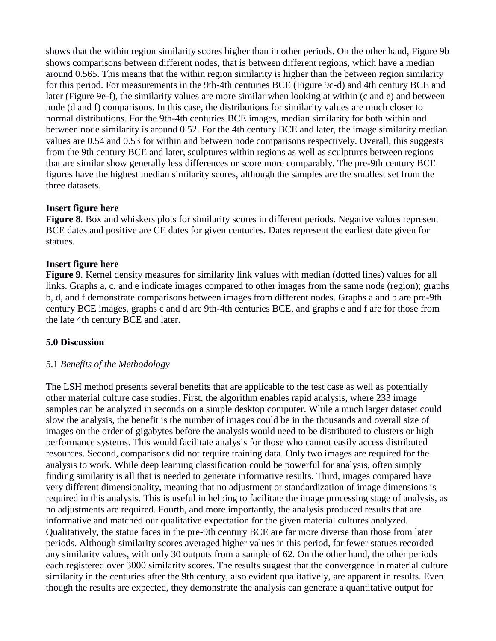shows that the within region similarity scores higher than in other periods. On the other hand, Figure 9b shows comparisons between different nodes, that is between different regions, which have a median around 0.565. This means that the within region similarity is higher than the between region similarity for this period. For measurements in the 9th-4th centuries BCE (Figure 9c-d) and 4th century BCE and later (Figure 9e-f), the similarity values are more similar when looking at within (c and e) and between node (d and f) comparisons. In this case, the distributions for similarity values are much closer to normal distributions. For the 9th-4th centuries BCE images, median similarity for both within and between node similarity is around 0.52. For the 4th century BCE and later, the image similarity median values are 0.54 and 0.53 for within and between node comparisons respectively. Overall, this suggests from the 9th century BCE and later, sculptures within regions as well as sculptures between regions that are similar show generally less differences or score more comparably. The pre-9th century BCE figures have the highest median similarity scores, although the samples are the smallest set from the three datasets.

#### **Insert figure here**

**Figure 8.** Box and whiskers plots for similarity scores in different periods. Negative values represent BCE dates and positive are CE dates for given centuries. Dates represent the earliest date given for statues.

#### **Insert figure here**

**Figure 9**. Kernel density measures for similarity link values with median (dotted lines) values for all links. Graphs a, c, and e indicate images compared to other images from the same node (region); graphs b, d, and f demonstrate comparisons between images from different nodes. Graphs a and b are pre-9th century BCE images, graphs c and d are 9th-4th centuries BCE, and graphs e and f are for those from the late 4th century BCE and later.

#### **5.0 Discussion**

#### 5.1 *Benefits of the Methodology*

The LSH method presents several benefits that are applicable to the test case as well as potentially other material culture case studies. First, the algorithm enables rapid analysis, where 233 image samples can be analyzed in seconds on a simple desktop computer. While a much larger dataset could slow the analysis, the benefit is the number of images could be in the thousands and overall size of images on the order of gigabytes before the analysis would need to be distributed to clusters or high performance systems. This would facilitate analysis for those who cannot easily access distributed resources. Second, comparisons did not require training data. Only two images are required for the analysis to work. While deep learning classification could be powerful for analysis, often simply finding similarity is all that is needed to generate informative results. Third, images compared have very different dimensionality, meaning that no adjustment or standardization of image dimensions is required in this analysis. This is useful in helping to facilitate the image processing stage of analysis, as no adjustments are required. Fourth, and more importantly, the analysis produced results that are informative and matched our qualitative expectation for the given material cultures analyzed. Qualitatively, the statue faces in the pre-9th century BCE are far more diverse than those from later periods. Although similarity scores averaged higher values in this period, far fewer statues recorded any similarity values, with only 30 outputs from a sample of 62. On the other hand, the other periods each registered over 3000 similarity scores. The results suggest that the convergence in material culture similarity in the centuries after the 9th century, also evident qualitatively, are apparent in results. Even though the results are expected, they demonstrate the analysis can generate a quantitative output for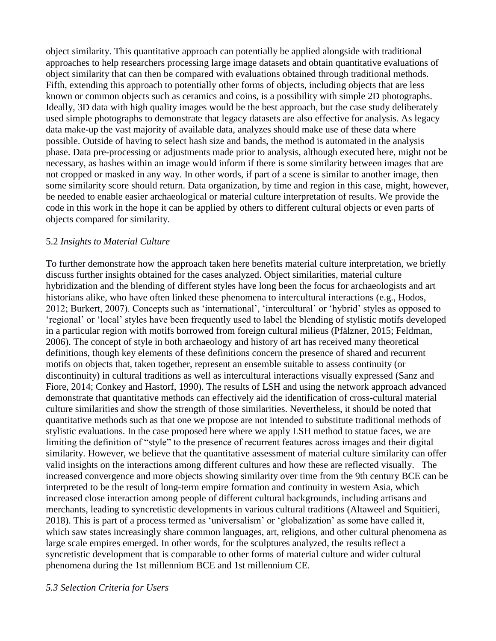object similarity. This quantitative approach can potentially be applied alongside with traditional approaches to help researchers processing large image datasets and obtain quantitative evaluations of object similarity that can then be compared with evaluations obtained through traditional methods. Fifth, extending this approach to potentially other forms of objects, including objects that are less known or common objects such as ceramics and coins, is a possibility with simple 2D photographs. Ideally, 3D data with high quality images would be the best approach, but the case study deliberately used simple photographs to demonstrate that legacy datasets are also effective for analysis. As legacy data make-up the vast majority of available data, analyzes should make use of these data where possible. Outside of having to select hash size and bands, the method is automated in the analysis phase. Data pre-processing or adjustments made prior to analysis, although executed here, might not be necessary, as hashes within an image would inform if there is some similarity between images that are not cropped or masked in any way. In other words, if part of a scene is similar to another image, then some similarity score should return. Data organization, by time and region in this case, might, however, be needed to enable easier archaeological or material culture interpretation of results. We provide the code in this work in the hope it can be applied by others to different cultural objects or even parts of objects compared for similarity.

#### 5.2 *Insights to Material Culture*

To further demonstrate how the approach taken here benefits material culture interpretation, we briefly discuss further insights obtained for the cases analyzed. Object similarities, material culture hybridization and the blending of different styles have long been the focus for archaeologists and art historians alike, who have often linked these phenomena to intercultural interactions (e.g., Hodos, 2012; Burkert, 2007). Concepts such as 'international', 'intercultural' or 'hybrid' styles as opposed to 'regional' or 'local' styles have been frequently used to label the blending of stylistic motifs developed in a particular region with motifs borrowed from foreign cultural milieus (Pfälzner, 2015; Feldman, 2006). The concept of style in both archaeology and history of art has received many theoretical definitions, though key elements of these definitions concern the presence of shared and recurrent motifs on objects that, taken together, represent an ensemble suitable to assess continuity (or discontinuity) in cultural traditions as well as intercultural interactions visually expressed (Sanz and Fiore, 2014; Conkey and Hastorf, 1990). The results of LSH and using the network approach advanced demonstrate that quantitative methods can effectively aid the identification of cross-cultural material culture similarities and show the strength of those similarities. Nevertheless, it should be noted that quantitative methods such as that one we propose are not intended to substitute traditional methods of stylistic evaluations. In the case proposed here where we apply LSH method to statue faces, we are limiting the definition of "style" to the presence of recurrent features across images and their digital similarity. However, we believe that the quantitative assessment of material culture similarity can offer valid insights on the interactions among different cultures and how these are reflected visually. The increased convergence and more objects showing similarity over time from the 9th century BCE can be interpreted to be the result of long-term empire formation and continuity in western Asia, which increased close interaction among people of different cultural backgrounds, including artisans and merchants, leading to syncretistic developments in various cultural traditions (Altaweel and Squitieri, 2018). This is part of a process termed as 'universalism' or 'globalization' as some have called it, which saw states increasingly share common languages, art, religions, and other cultural phenomena as large scale empires emerged. In other words, for the sculptures analyzed, the results reflect a syncretistic development that is comparable to other forms of material culture and wider cultural phenomena during the 1st millennium BCE and 1st millennium CE.

#### *5.3 Selection Criteria for Users*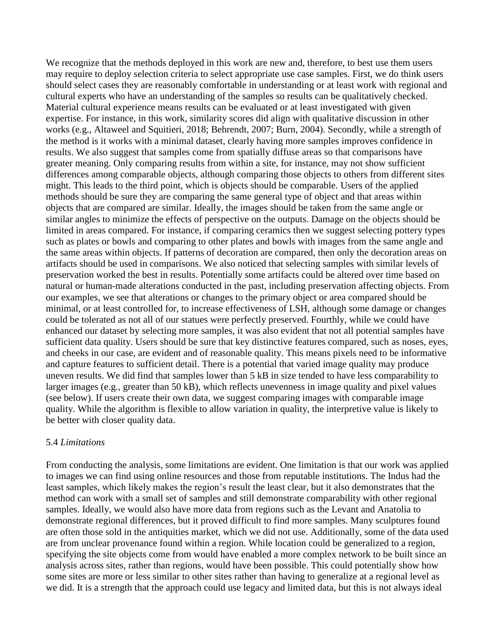We recognize that the methods deployed in this work are new and, therefore, to best use them users may require to deploy selection criteria to select appropriate use case samples. First, we do think users should select cases they are reasonably comfortable in understanding or at least work with regional and cultural experts who have an understanding of the samples so results can be qualitatively checked. Material cultural experience means results can be evaluated or at least investigated with given expertise. For instance, in this work, similarity scores did align with qualitative discussion in other works (e.g., Altaweel and Squitieri, 2018; Behrendt, 2007; Burn, 2004). Secondly, while a strength of the method is it works with a minimal dataset, clearly having more samples improves confidence in results. We also suggest that samples come from spatially diffuse areas so that comparisons have greater meaning. Only comparing results from within a site, for instance, may not show sufficient differences among comparable objects, although comparing those objects to others from different sites might. This leads to the third point, which is objects should be comparable. Users of the applied methods should be sure they are comparing the same general type of object and that areas within objects that are compared are similar. Ideally, the images should be taken from the same angle or similar angles to minimize the effects of perspective on the outputs. Damage on the objects should be limited in areas compared. For instance, if comparing ceramics then we suggest selecting pottery types such as plates or bowls and comparing to other plates and bowls with images from the same angle and the same areas within objects. If patterns of decoration are compared, then only the decoration areas on artifacts should be used in comparisons. We also noticed that selecting samples with similar levels of preservation worked the best in results. Potentially some artifacts could be altered over time based on natural or human-made alterations conducted in the past, including preservation affecting objects. From our examples, we see that alterations or changes to the primary object or area compared should be minimal, or at least controlled for, to increase effectiveness of LSH, although some damage or changes could be tolerated as not all of our statues were perfectly preserved. Fourthly, while we could have enhanced our dataset by selecting more samples, it was also evident that not all potential samples have sufficient data quality. Users should be sure that key distinctive features compared, such as noses, eyes, and cheeks in our case, are evident and of reasonable quality. This means pixels need to be informative and capture features to sufficient detail. There is a potential that varied image quality may produce uneven results. We did find that samples lower than 5 kB in size tended to have less comparability to larger images (e.g., greater than 50 kB), which reflects unevenness in image quality and pixel values (see below). If users create their own data, we suggest comparing images with comparable image quality. While the algorithm is flexible to allow variation in quality, the interpretive value is likely to be better with closer quality data.

#### 5.4 *Limitations*

From conducting the analysis, some limitations are evident. One limitation is that our work was applied to images we can find using online resources and those from reputable institutions. The Indus had the least samples, which likely makes the region's result the least clear, but it also demonstrates that the method can work with a small set of samples and still demonstrate comparability with other regional samples. Ideally, we would also have more data from regions such as the Levant and Anatolia to demonstrate regional differences, but it proved difficult to find more samples. Many sculptures found are often those sold in the antiquities market, which we did not use. Additionally, some of the data used are from unclear provenance found within a region. While location could be generalized to a region, specifying the site objects come from would have enabled a more complex network to be built since an analysis across sites, rather than regions, would have been possible. This could potentially show how some sites are more or less similar to other sites rather than having to generalize at a regional level as we did. It is a strength that the approach could use legacy and limited data, but this is not always ideal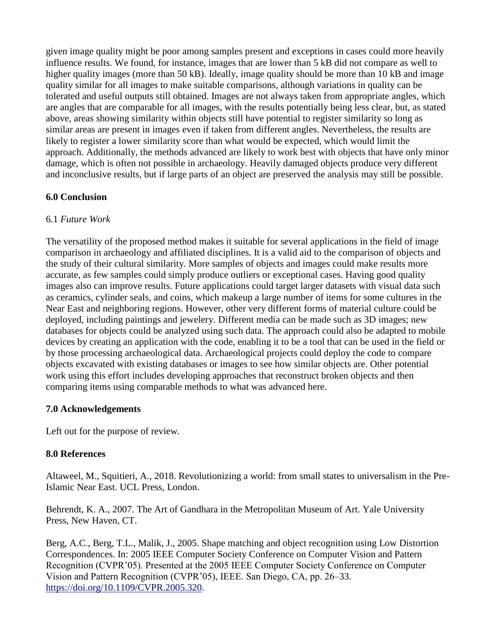given image quality might be poor among samples present and exceptions in cases could more heavily influence results. We found, for instance, images that are lower than 5 kB did not compare as well to higher quality images (more than 50 kB). Ideally, image quality should be more than 10 kB and image quality similar for all images to make suitable comparisons, although variations in quality can be tolerated and useful outputs still obtained. Images are not always taken from appropriate angles, which are angles that are comparable for all images, with the results potentially being less clear, but, as stated above, areas showing similarity within objects still have potential to register similarity so long as similar areas are present in images even if taken from different angles. Nevertheless, the results are likely to register a lower similarity score than what would be expected, which would limit the approach. Additionally, the methods advanced are likely to work best with objects that have only minor damage, which is often not possible in archaeology. Heavily damaged objects produce very different and inconclusive results, but if large parts of an object are preserved the analysis may still be possible.

### **6.0 Conclusion**

### 6.1 *Future Work*

The versatility of the proposed method makes it suitable for several applications in the field of image comparison in archaeology and affiliated disciplines. It is a valid aid to the comparison of objects and the study of their cultural similarity. More samples of objects and images could make results more accurate, as few samples could simply produce outliers or exceptional cases. Having good quality images also can improve results. Future applications could target larger datasets with visual data such as ceramics, cylinder seals, and coins, which makeup a large number of items for some cultures in the Near East and neighboring regions. However, other very different forms of material culture could be deployed, including paintings and jewelery. Different media can be made such as 3D images; new databases for objects could be analyzed using such data. The approach could also be adapted to mobile devices by creating an application with the code, enabling it to be a tool that can be used in the field or by those processing archaeological data. Archaeological projects could deploy the code to compare objects excavated with existing databases or images to see how similar objects are. Other potential work using this effort includes developing approaches that reconstruct broken objects and then comparing items using comparable methods to what was advanced here.

# **7.0 Acknowledgements**

Left out for the purpose of review.

# **8.0 References**

Altaweel, M., Squitieri, A., 2018. Revolutionizing a world: from small states to universalism in the Pre-Islamic Near East. UCL Press, London.

Behrendt, K. A., 2007. The Art of Gandhara in the Metropolitan Museum of Art. Yale University Press, New Haven, CT.

Berg, A.C., Berg, T.L., Malik, J., 2005. Shape matching and object recognition using Low Distortion Correspondences. In: 2005 IEEE Computer Society Conference on Computer Vision and Pattern Recognition (CVPR'05). Presented at the 2005 IEEE Computer Society Conference on Computer Vision and Pattern Recognition (CVPR'05), IEEE. San Diego, CA, pp. 26–33. [https://doi.org/10.1109/CVPR.2005.320.](https://doi.org/10.1109/CVPR.2005.320)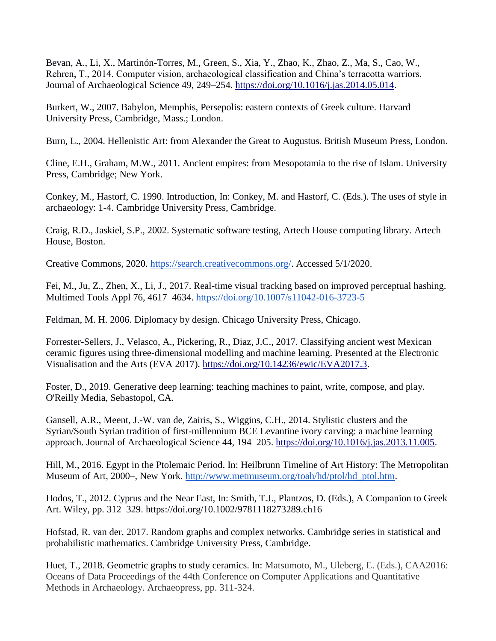Bevan, A., Li, X., Martinón-Torres, M., Green, S., Xia, Y., Zhao, K., Zhao, Z., Ma, S., Cao, W., Rehren, T., 2014. Computer vision, archaeological classification and China's terracotta warriors. Journal of Archaeological Science 49, 249–254. [https://doi.org/10.1016/j.jas.2014.05.014.](https://doi.org/10.1016/j.jas.2014.05.014)

Burkert, W., 2007. Babylon, Memphis, Persepolis: eastern contexts of Greek culture. Harvard University Press, Cambridge, Mass.; London.

Burn, L., 2004. Hellenistic Art: from Alexander the Great to Augustus. British Museum Press, London.

Cline, E.H., Graham, M.W., 2011. Ancient empires: from Mesopotamia to the rise of Islam. University Press, Cambridge; New York.

Conkey, M., Hastorf, C. 1990. Introduction, In: Conkey, M. and Hastorf, C. (Eds.). The uses of style in archaeology: 1-4. Cambridge University Press, Cambridge.

Craig, R.D., Jaskiel, S.P., 2002. Systematic software testing, Artech House computing library. Artech House, Boston.

Creative Commons, 2020. [https://search.creativecommons.org/.](https://search.creativecommons.org/) Accessed 5/1/2020.

Fei, M., Ju, Z., Zhen, X., Li, J., 2017. Real-time visual tracking based on improved perceptual hashing. Multimed Tools Appl 76, 4617–4634.<https://doi.org/10.1007/s11042-016-3723-5>

Feldman, M. H. 2006. Diplomacy by design. Chicago University Press, Chicago.

Forrester-Sellers, J., Velasco, A., Pickering, R., Diaz, J.C., 2017. Classifying ancient west Mexican ceramic figures using three-dimensional modelling and machine learning. Presented at the Electronic Visualisation and the Arts (EVA 2017). [https://doi.org/10.14236/ewic/EVA2017.3.](https://doi.org/10.14236/ewic/EVA2017.3)

Foster, D., 2019. Generative deep learning: teaching machines to paint, write, compose, and play. O'Reilly Media, Sebastopol, CA.

Gansell, A.R., Meent, J.-W. van de, Zairis, S., Wiggins, C.H., 2014. Stylistic clusters and the Syrian/South Syrian tradition of first-millennium BCE Levantine ivory carving: a machine learning approach. Journal of Archaeological Science 44, 194–205. [https://doi.org/10.1016/j.jas.2013.11.005.](https://doi.org/10.1016/j.jas.2013.11.005)

Hill, M., 2016. Egypt in the Ptolemaic Period. In: Heilbrunn Timeline of Art History: The Metropolitan Museum of Art, 2000–, New York. [http://www.metmuseum.org/toah/hd/ptol/hd\\_ptol.htm.](http://www.metmuseum.org/toah/hd/ptol/hd_ptol.htm)

Hodos, T., 2012. Cyprus and the Near East, In: Smith, T.J., Plantzos, D. (Eds.), A Companion to Greek Art. Wiley, pp. 312–329.<https://doi.org/10.1002/9781118273289.ch16>

Hofstad, R. van der, 2017. Random graphs and complex networks. Cambridge series in statistical and probabilistic mathematics. Cambridge University Press, Cambridge.

Huet, T., 2018. Geometric graphs to study ceramics. In: Matsumoto, M., Uleberg, E. (Eds.), CAA2016: Oceans of Data Proceedings of the 44th Conference on Computer Applications and Quantitative Methods in Archaeology. Archaeopress, pp. 311-324.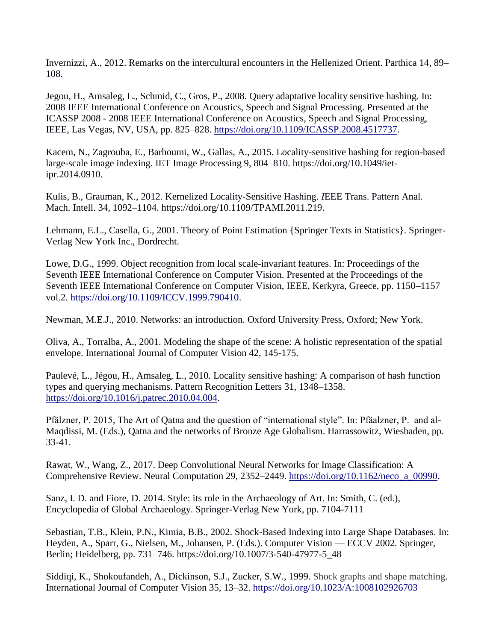Invernizzi, A., 2012. Remarks on the intercultural encounters in the Hellenized Orient. Parthica 14, 89– 108.

Jegou, H., Amsaleg, L., Schmid, C., Gros, P., 2008. Query adaptative locality sensitive hashing. In: 2008 IEEE International Conference on Acoustics, Speech and Signal Processing. Presented at the ICASSP 2008 - 2008 IEEE International Conference on Acoustics, Speech and Signal Processing, IEEE, Las Vegas, NV, USA, pp. 825–828. [https://doi.org/10.1109/ICASSP.2008.4517737.](https://doi.org/10.1109/ICASSP.2008.4517737)

Kacem, N., Zagrouba, E., Barhoumi, W., Gallas, A., 2015. Locality-sensitive hashing for region-based large-scale image indexing. IET Image Processing 9, 804–810. [https://doi.org/10.1049/iet](https://doi.org/10.1049/iet-ipr.2014.0910)[ipr.2014.0910.](https://doi.org/10.1049/iet-ipr.2014.0910)

Kulis, B., Grauman, K., 2012. Kernelized Locality-Sensitive Hashing. *I*EEE Trans. Pattern Anal. Mach. Intell. 34, 1092–1104. [https://doi.org/10.1109/TPAMI.2011.219.](https://doi.org/10.1109/TPAMI.2011.219)

Lehmann, E.L., Casella, G., 2001. Theory of Point Estimation {Springer Texts in Statistics}. Springer-Verlag New York Inc., Dordrecht.

Lowe, D.G., 1999. Object recognition from local scale-invariant features. In: Proceedings of the Seventh IEEE International Conference on Computer Vision. Presented at the Proceedings of the Seventh IEEE International Conference on Computer Vision, IEEE, Kerkyra, Greece, pp. 1150–1157 vol.2. [https://doi.org/10.1109/ICCV.1999.790410.](https://doi.org/10.1109/ICCV.1999.790410)

Newman, M.E.J., 2010. Networks: an introduction. Oxford University Press, Oxford; New York.

Oliva, A., Torralba, A., 2001. Modeling the shape of the scene: A holistic representation of the spatial envelope. International Journal of Computer Vision 42, 145-175.

Paulevé, L., Jégou, H., Amsaleg, L., 2010. Locality sensitive hashing: A comparison of hash function types and querying mechanisms. Pattern Recognition Letters 31, 1348–1358. [https://doi.org/10.1016/j.patrec.2010.04.004.](https://doi.org/10.1016/j.patrec.2010.04.004)

Pfälzner, P. 2015, The Art of Qatna and the question of "international style". In: Pfäalzner, P. and al-Maqdissi, M. (Eds.), Qatna and the networks of Bronze Age Globalism. Harrassowitz, Wiesbaden, pp. 33-41.

Rawat, W., Wang, Z., 2017. Deep Convolutional Neural Networks for Image Classification: A Comprehensive Review. Neural Computation 29, 2352–2449. [https://doi.org/10.1162/neco\\_a\\_00990.](https://doi.org/10.1162/neco_a_00990)

Sanz, I. D. and Fiore, D. 2014. Style: its role in the Archaeology of Art. In: Smith, C. (ed.), Encyclopedia of Global Archaeology. Springer-Verlag New York, pp. 7104-7111

Sebastian, T.B., Klein, P.N., Kimia, B.B., 2002. Shock-Based Indexing into Large Shape Databases. In: Heyden, A., Sparr, G., Nielsen, M., Johansen, P. (Eds.). Computer Vision — ECCV 2002. Springer, Berlin; Heidelberg, pp. 731–746. [https://doi.org/10.1007/3-540-47977-5\\_48](https://doi.org/10.1007/3-540-47977-5_48)

Siddiqi, K., Shokoufandeh, A., Dickinson, S.J., Zucker, S.W., 1999. Shock graphs and shape matching. International Journal of Computer Vision 35, 13–32.<https://doi.org/10.1023/A:1008102926703>